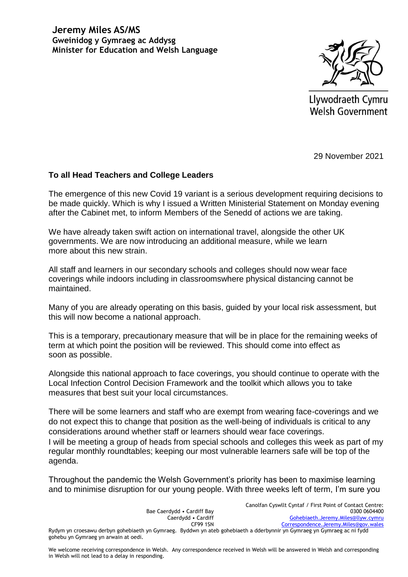

Llywodraeth Cymru **Welsh Government** 

29 November 2021

## **To all Head Teachers and College Leaders**

The emergence of this new Covid 19 variant is a serious development requiring decisions to be made quickly. Which is why I issued a Written Ministerial Statement on Monday evening after the Cabinet met, to inform Members of the Senedd of actions we are taking.

We have already taken swift action on international travel, alongside the other UK governments. We are now introducing an additional measure, while we learn more about this new strain.

All staff and learners in our secondary schools and colleges should now wear face coverings while indoors including in classroomswhere physical distancing cannot be maintained.

Many of you are already operating on this basis, guided by your local risk assessment, but this will now become a national approach.

This is a temporary, precautionary measure that will be in place for the remaining weeks of term at which point the position will be reviewed. This should come into effect as soon as possible.

Alongside this national approach to face coverings, you should continue to operate with the Local Infection Control Decision Framework and the toolkit which allows you to take measures that best suit your local circumstances.

There will be some learners and staff who are exempt from wearing face-coverings and we do not expect this to change that position as the well-being of individuals is critical to any considerations around whether staff or learners should wear face coverings. I will be meeting a group of heads from special schools and colleges this week as part of my regular monthly roundtables; keeping our most vulnerable learners safe will be top of the agenda.

Throughout the pandemic the Welsh Government's priority has been to maximise learning and to minimise disruption for our young people. With three weeks left of term, I'm sure you